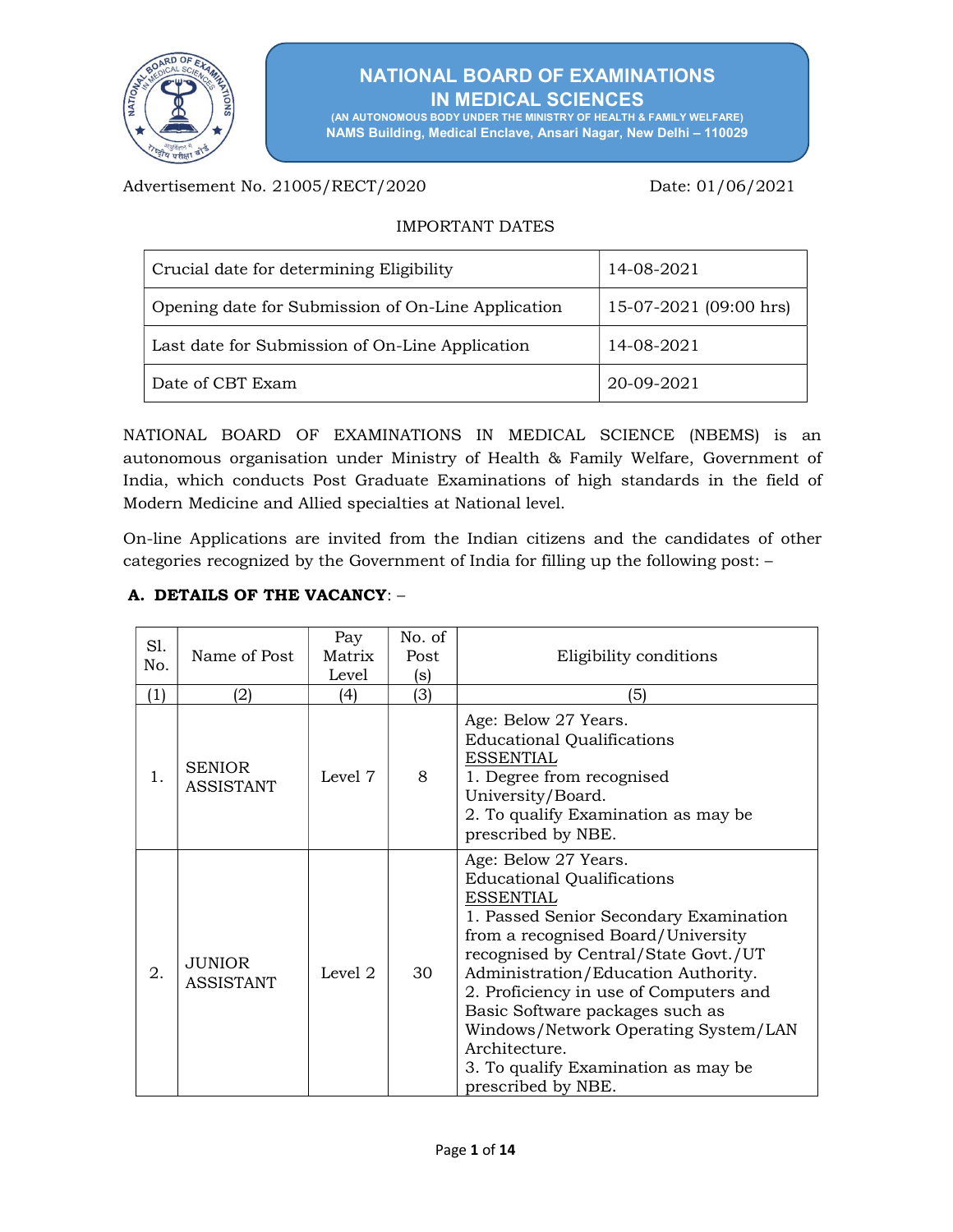

# NATIONAL BOARD OF EXAMINATIONS IN MEDICAL SCIENCES

(AN AUTONOMOUS BODY UNDER THE MINISTRY OF HEALTH & FAMILY WELFARE) NAMS Building, Medical Enclave, Ansari Nagar, New Delhi – 110029

Advertisement No. 21005/RECT/2020 Date: 01/06/2021

# IMPORTANT DATES

| Crucial date for determining Eligibility           | 14-08-2021             |
|----------------------------------------------------|------------------------|
| Opening date for Submission of On-Line Application | 15-07-2021 (09:00 hrs) |
| Last date for Submission of On-Line Application    | 14-08-2021             |
| Date of CBT Exam                                   | 20-09-2021             |

NATIONAL BOARD OF EXAMINATIONS IN MEDICAL SCIENCE (NBEMS) is an autonomous organisation under Ministry of Health & Family Welfare, Government of India, which conducts Post Graduate Examinations of high standards in the field of Modern Medicine and Allied specialties at National level.

On-line Applications are invited from the Indian citizens and the candidates of other categories recognized by the Government of India for filling up the following post: –

## A. DETAILS OF THE VACANCY: –

| S1.<br>No. | Name of Post                      | Pay<br>Matrix<br>Level | No. of<br>Post<br>(s) | Eligibility conditions                                                                                                                                                                                                                                                                                                                                                                                                                          |
|------------|-----------------------------------|------------------------|-----------------------|-------------------------------------------------------------------------------------------------------------------------------------------------------------------------------------------------------------------------------------------------------------------------------------------------------------------------------------------------------------------------------------------------------------------------------------------------|
| (1)        | (2)                               | (4)                    | (3)                   | '5)                                                                                                                                                                                                                                                                                                                                                                                                                                             |
| 1.         | <b>SENIOR</b><br><b>ASSISTANT</b> | Level 7                | 8                     | Age: Below 27 Years.<br><b>Educational Qualifications</b><br><b>ESSENTIAL</b><br>1. Degree from recognised<br>University/Board.<br>2. To qualify Examination as may be<br>prescribed by NBE.                                                                                                                                                                                                                                                    |
| 2.         | <b>JUNIOR</b><br><b>ASSISTANT</b> | Level 2                | 30                    | Age: Below 27 Years.<br><b>Educational Qualifications</b><br><b>ESSENTIAL</b><br>1. Passed Senior Secondary Examination<br>from a recognised Board/University<br>recognised by Central/State Govt./UT<br>Administration/Education Authority.<br>2. Proficiency in use of Computers and<br>Basic Software packages such as<br>Windows/Network Operating System/LAN<br>Architecture.<br>3. To qualify Examination as may be<br>prescribed by NBE. |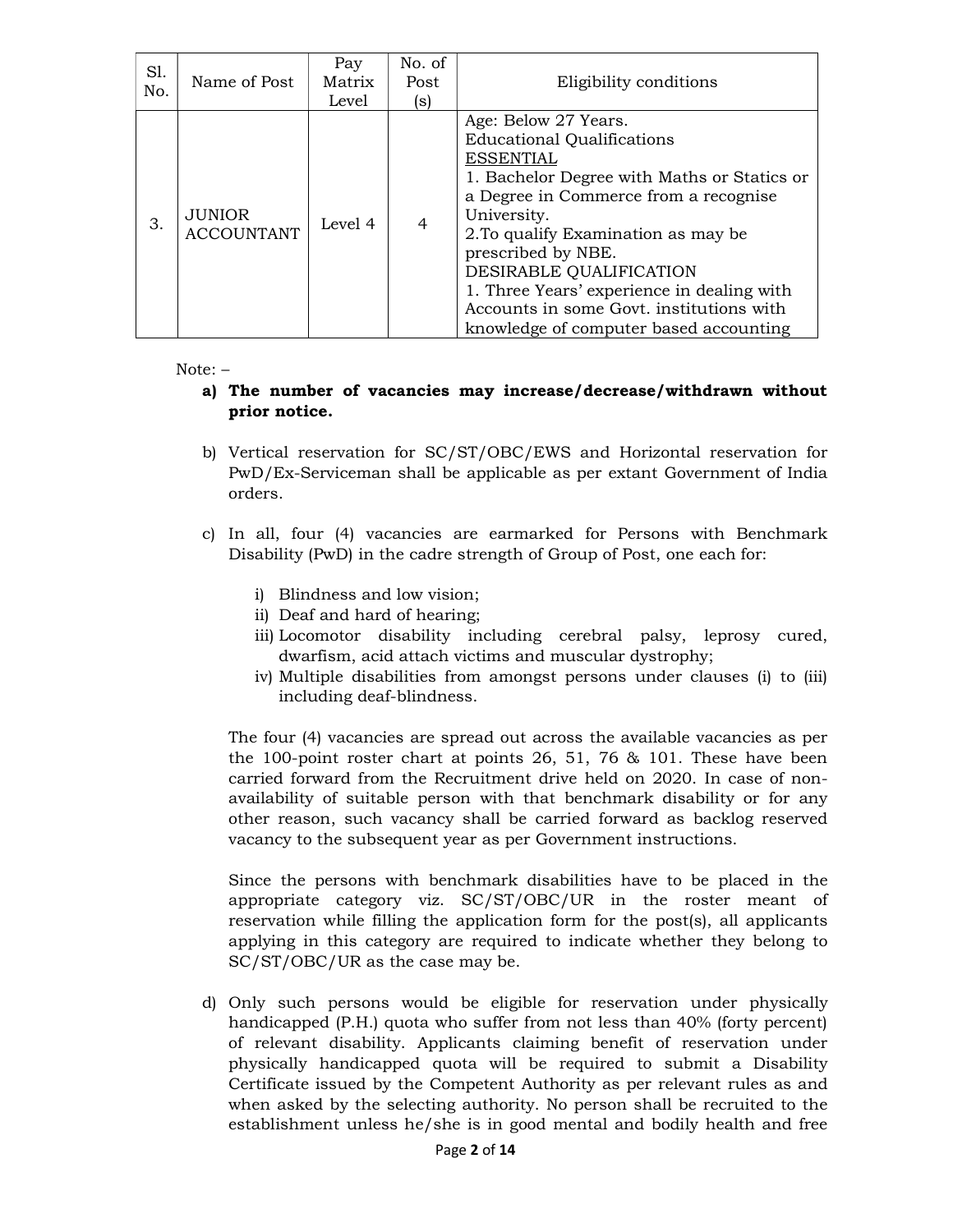| S1.<br>No. | Name of Post                       | Pay<br>Matrix<br>Level | No. of<br>Post<br>(s) | Eligibility conditions                                                                                                                                                                                                                                                                                                                                                                                           |
|------------|------------------------------------|------------------------|-----------------------|------------------------------------------------------------------------------------------------------------------------------------------------------------------------------------------------------------------------------------------------------------------------------------------------------------------------------------------------------------------------------------------------------------------|
| 3.         | <b>JUNIOR</b><br><b>ACCOUNTANT</b> | Level 4                | $\overline{4}$        | Age: Below 27 Years.<br><b>Educational Qualifications</b><br><b>ESSENTIAL</b><br>1. Bachelor Degree with Maths or Statics or<br>a Degree in Commerce from a recognise<br>University.<br>2. To qualify Examination as may be<br>prescribed by NBE.<br>DESIRABLE QUALIFICATION<br>1. Three Years' experience in dealing with<br>Accounts in some Govt. institutions with<br>knowledge of computer based accounting |

Note: –

### a) The number of vacancies may increase/decrease/withdrawn without prior notice.

- b) Vertical reservation for SC/ST/OBC/EWS and Horizontal reservation for PwD/Ex-Serviceman shall be applicable as per extant Government of India orders.
- c) In all, four (4) vacancies are earmarked for Persons with Benchmark Disability (PwD) in the cadre strength of Group of Post, one each for:
	- i) Blindness and low vision;
	- ii) Deaf and hard of hearing;
	- iii) Locomotor disability including cerebral palsy, leprosy cured, dwarfism, acid attach victims and muscular dystrophy;
	- iv) Multiple disabilities from amongst persons under clauses (i) to (iii) including deaf-blindness.

The four (4) vacancies are spread out across the available vacancies as per the 100-point roster chart at points 26, 51, 76 & 101. These have been carried forward from the Recruitment drive held on 2020. In case of nonavailability of suitable person with that benchmark disability or for any other reason, such vacancy shall be carried forward as backlog reserved vacancy to the subsequent year as per Government instructions.

Since the persons with benchmark disabilities have to be placed in the appropriate category viz. SC/ST/OBC/UR in the roster meant of reservation while filling the application form for the post(s), all applicants applying in this category are required to indicate whether they belong to SC/ST/OBC/UR as the case may be.

d) Only such persons would be eligible for reservation under physically handicapped (P.H.) quota who suffer from not less than 40% (forty percent) of relevant disability. Applicants claiming benefit of reservation under physically handicapped quota will be required to submit a Disability Certificate issued by the Competent Authority as per relevant rules as and when asked by the selecting authority. No person shall be recruited to the establishment unless he/she is in good mental and bodily health and free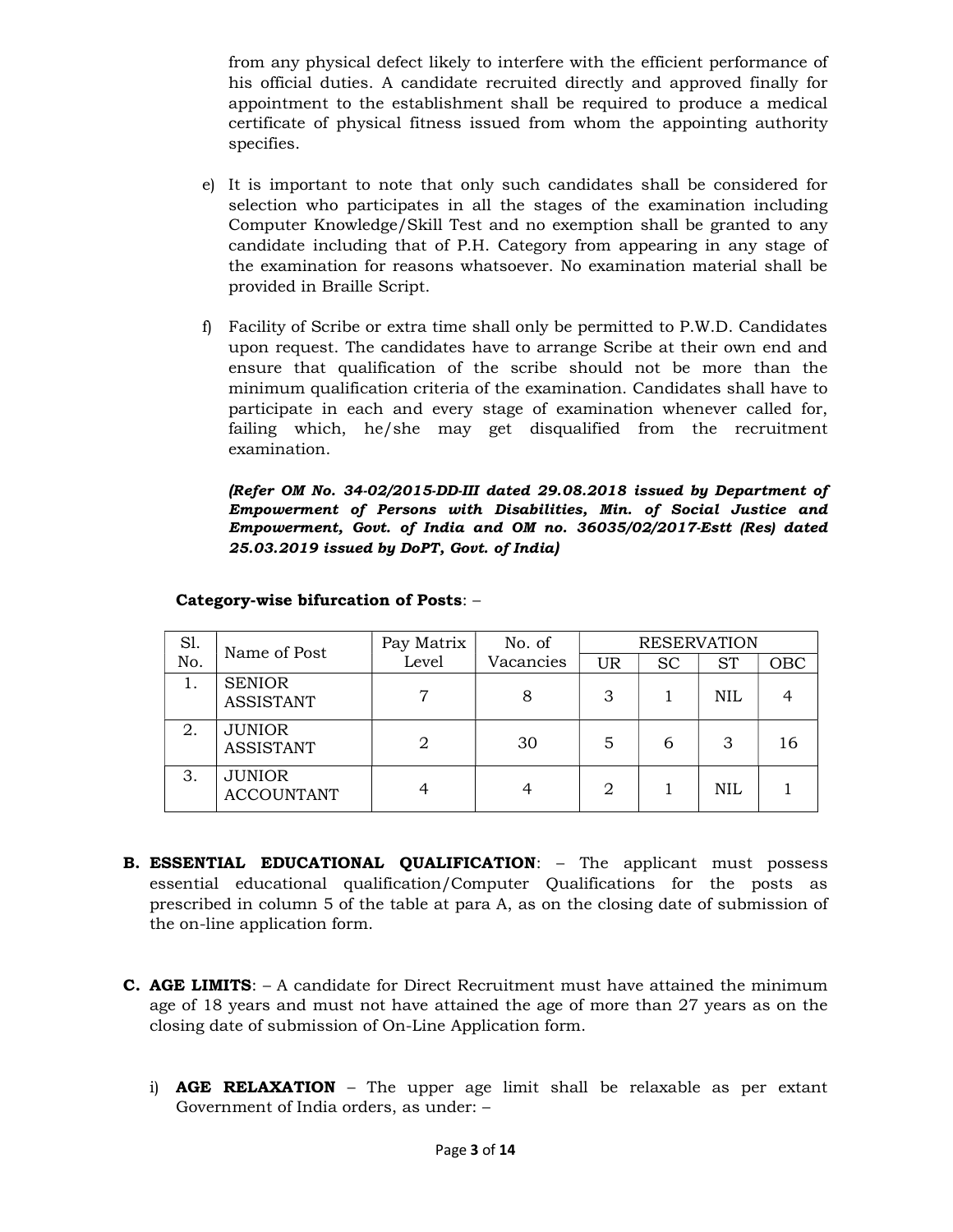from any physical defect likely to interfere with the efficient performance of his official duties. A candidate recruited directly and approved finally for appointment to the establishment shall be required to produce a medical certificate of physical fitness issued from whom the appointing authority specifies.

- e) It is important to note that only such candidates shall be considered for selection who participates in all the stages of the examination including Computer Knowledge/Skill Test and no exemption shall be granted to any candidate including that of P.H. Category from appearing in any stage of the examination for reasons whatsoever. No examination material shall be provided in Braille Script.
- f) Facility of Scribe or extra time shall only be permitted to P.W.D. Candidates upon request. The candidates have to arrange Scribe at their own end and ensure that qualification of the scribe should not be more than the minimum qualification criteria of the examination. Candidates shall have to participate in each and every stage of examination whenever called for, failing which, he/she may get disqualified from the recruitment examination.

(Refer OM No. 34-02/2015-DD-III dated 29.08.2018 issued by Department of Empowerment of Persons with Disabilities, Min. of Social Justice and Empowerment, Govt. of India and OM no. 36035/02/2017-Estt (Res) dated 25.03.2019 issued by DoPT, Govt. of India)

| Sl. | Name of Post                       | Pay Matrix | No. of    |    |           | <b>RESERVATION</b> |     |
|-----|------------------------------------|------------|-----------|----|-----------|--------------------|-----|
| No. |                                    | Level      | Vacancies | UR | <b>SC</b> | <b>ST</b>          | OBC |
|     | <b>SENIOR</b><br><b>ASSISTANT</b>  | 7          |           | 3  |           | NIL                |     |
| 2.  | <b>JUNIOR</b><br><b>ASSISTANT</b>  |            | 30        | 5  | 6         | 3                  | 16  |
| 3.  | <b>JUNIOR</b><br><b>ACCOUNTANT</b> |            |           | 2  |           | NIL                |     |

### Category-wise bifurcation of Posts: –

- **B. ESSENTIAL EDUCATIONAL QUALIFICATION:** The applicant must possess essential educational qualification/Computer Qualifications for the posts as prescribed in column 5 of the table at para A, as on the closing date of submission of the on-line application form.
- **C. AGE LIMITS:**  $A$  candidate for Direct Recruitment must have attained the minimum age of 18 years and must not have attained the age of more than 27 years as on the closing date of submission of On-Line Application form.
	- i)  $AGE RELAXATION The upper age limit shall be relaxed to be a per extant$ Government of India orders, as under: –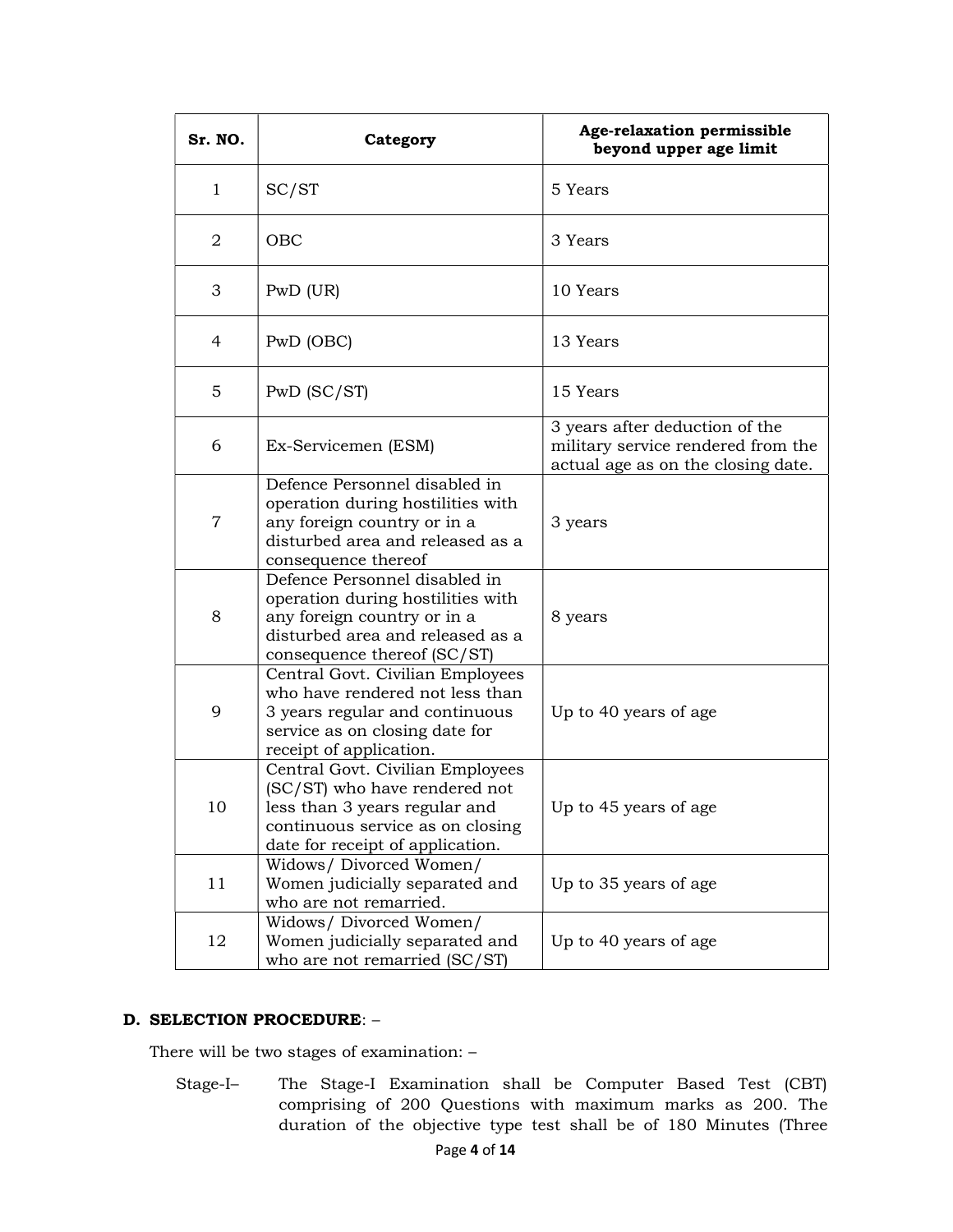| Sr. NO.        | Category                                                                                                                                                                   | Age-relaxation permissible<br>beyond upper age limit                                                       |
|----------------|----------------------------------------------------------------------------------------------------------------------------------------------------------------------------|------------------------------------------------------------------------------------------------------------|
| $\mathbf{1}$   | SC/ST                                                                                                                                                                      | 5 Years                                                                                                    |
| $\overline{2}$ | OBC                                                                                                                                                                        | 3 Years                                                                                                    |
| 3              | PWD (UR)                                                                                                                                                                   | 10 Years                                                                                                   |
| 4              | PwD (OBC)                                                                                                                                                                  | 13 Years                                                                                                   |
| 5              | $PwD$ (SC/ST)                                                                                                                                                              | 15 Years                                                                                                   |
| 6              | Ex-Servicemen (ESM)                                                                                                                                                        | 3 years after deduction of the<br>military service rendered from the<br>actual age as on the closing date. |
| 7              | Defence Personnel disabled in<br>operation during hostilities with<br>any foreign country or in a<br>disturbed area and released as a<br>consequence thereof               | 3 years                                                                                                    |
| 8              | Defence Personnel disabled in<br>operation during hostilities with<br>any foreign country or in a<br>disturbed area and released as a<br>consequence thereof (SC/ST)       | 8 years                                                                                                    |
| 9              | Central Govt. Civilian Employees<br>who have rendered not less than<br>3 years regular and continuous<br>service as on closing date for<br>receipt of application.         | Up to 40 years of age                                                                                      |
| 10             | Central Govt. Civilian Employees<br>(SC/ST) who have rendered not<br>less than 3 years regular and<br>continuous service as on closing<br>date for receipt of application. | Up to 45 years of age                                                                                      |
| 11             | Widows/ Divorced Women/<br>Women judicially separated and<br>who are not remarried.                                                                                        | Up to 35 years of age                                                                                      |
| 12             | Widows/ Divorced Women/<br>Women judicially separated and<br>who are not remarried (SC/ST)                                                                                 | Up to 40 years of age                                                                                      |

### D. SELECTION PROCEDURE: –

There will be two stages of examination: –

Stage-I– The Stage-I Examination shall be Computer Based Test (CBT) comprising of 200 Questions with maximum marks as 200. The duration of the objective type test shall be of 180 Minutes (Three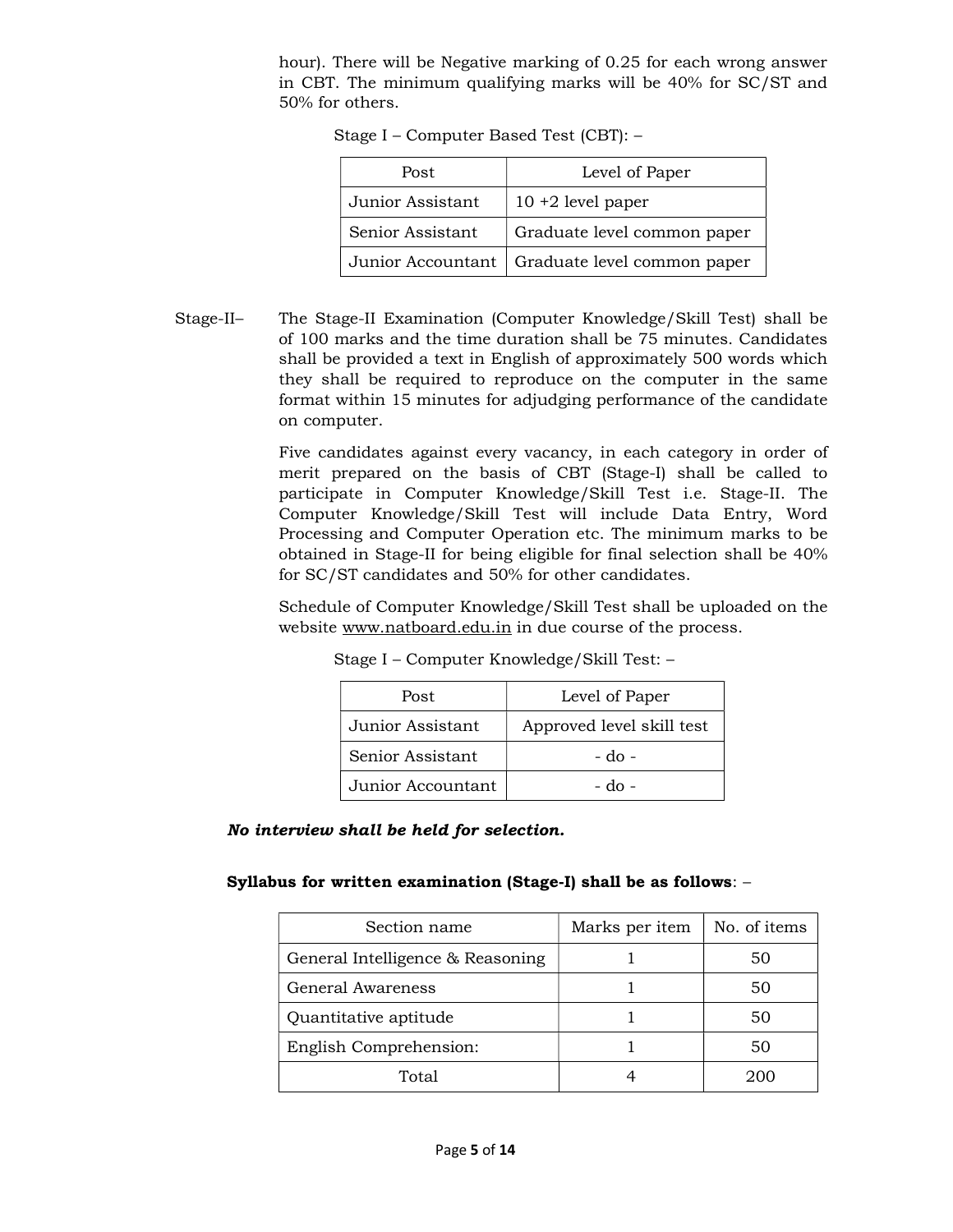hour). There will be Negative marking of 0.25 for each wrong answer in CBT. The minimum qualifying marks will be 40% for SC/ST and 50% for others.

| Post             | Level of Paper                                  |
|------------------|-------------------------------------------------|
| Junior Assistant | $10 + 2$ level paper                            |
| Senior Assistant | Graduate level common paper                     |
|                  | Junior Accountant   Graduate level common paper |

Stage I – Computer Based Test (CBT): –

Stage-II– The Stage-II Examination (Computer Knowledge/Skill Test) shall be of 100 marks and the time duration shall be 75 minutes. Candidates shall be provided a text in English of approximately 500 words which they shall be required to reproduce on the computer in the same format within 15 minutes for adjudging performance of the candidate on computer.

> Five candidates against every vacancy, in each category in order of merit prepared on the basis of CBT (Stage-I) shall be called to participate in Computer Knowledge/Skill Test i.e. Stage-II. The Computer Knowledge/Skill Test will include Data Entry, Word Processing and Computer Operation etc. The minimum marks to be obtained in Stage-II for being eligible for final selection shall be 40% for SC/ST candidates and 50% for other candidates.

> Schedule of Computer Knowledge/Skill Test shall be uploaded on the website www.natboard.edu.in in due course of the process.

| Post              | Level of Paper            |
|-------------------|---------------------------|
| Junior Assistant  | Approved level skill test |
| Senior Assistant  | - do -                    |
| Junior Accountant | - do -                    |

Stage I – Computer Knowledge/Skill Test: –

No interview shall be held for selection.

Syllabus for written examination (Stage-I) shall be as follows: –

| Section name                     | Marks per item | No. of items |
|----------------------------------|----------------|--------------|
| General Intelligence & Reasoning |                | 50           |
| General Awareness                |                | 50           |
| Quantitative aptitude            |                | 50           |
| English Comprehension:           |                | 50           |
| Total                            |                |              |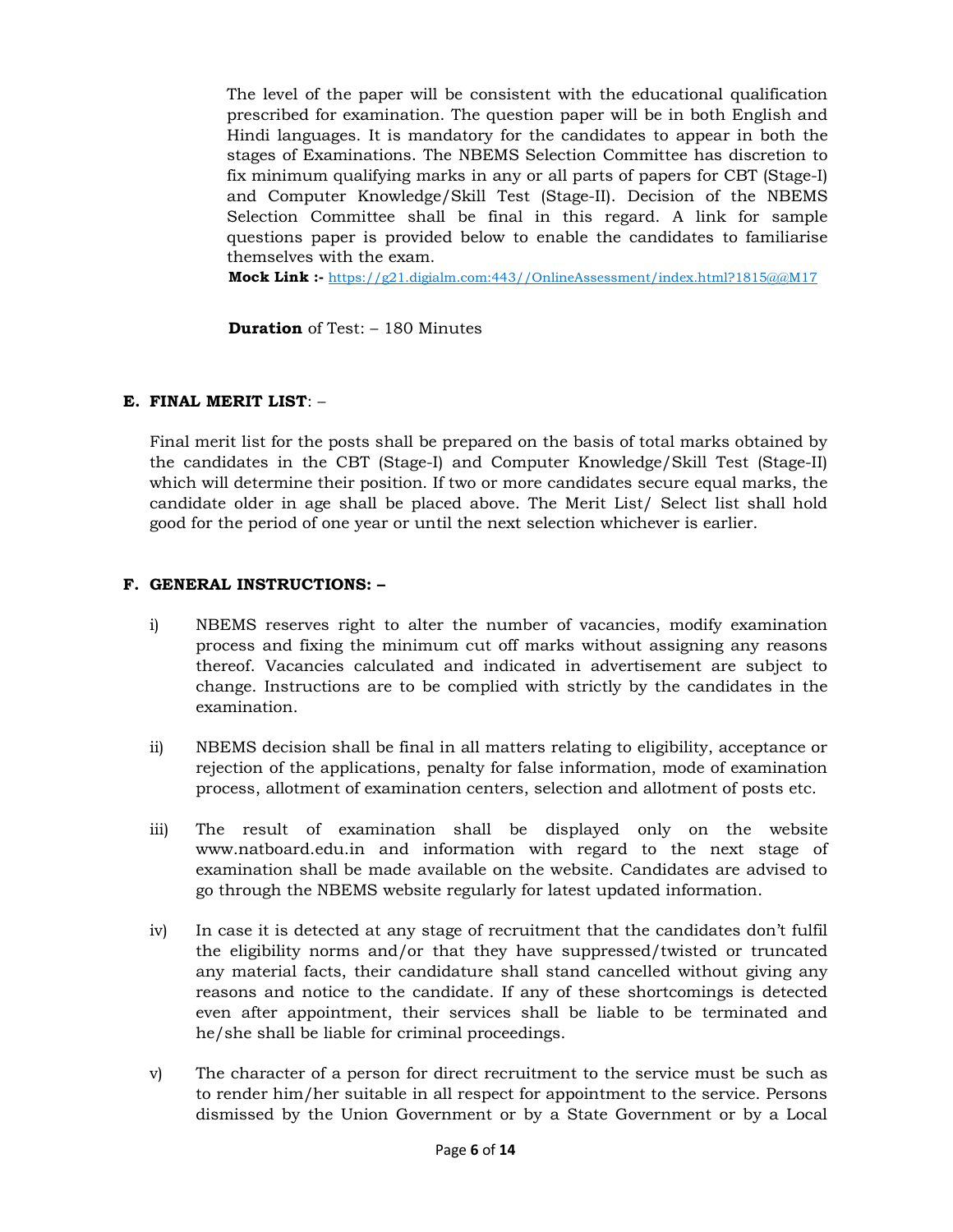The level of the paper will be consistent with the educational qualification prescribed for examination. The question paper will be in both English and Hindi languages. It is mandatory for the candidates to appear in both the stages of Examinations. The NBEMS Selection Committee has discretion to fix minimum qualifying marks in any or all parts of papers for CBT (Stage-I) and Computer Knowledge/Skill Test (Stage-II). Decision of the NBEMS Selection Committee shall be final in this regard. A link for sample questions paper is provided below to enable the candidates to familiarise themselves with the exam.

**Mock Link :-** https://g21.digialm.com:443//OnlineAssessment/index.html?1815@@M17

**Duration** of Test:  $-180$  Minutes

#### E. FINAL MERIT LIST: –

Final merit list for the posts shall be prepared on the basis of total marks obtained by the candidates in the CBT (Stage-I) and Computer Knowledge/Skill Test (Stage-II) which will determine their position. If two or more candidates secure equal marks, the candidate older in age shall be placed above. The Merit List/ Select list shall hold good for the period of one year or until the next selection whichever is earlier.

#### F. GENERAL INSTRUCTIONS: –

- i) NBEMS reserves right to alter the number of vacancies, modify examination process and fixing the minimum cut off marks without assigning any reasons thereof. Vacancies calculated and indicated in advertisement are subject to change. Instructions are to be complied with strictly by the candidates in the examination.
- ii) NBEMS decision shall be final in all matters relating to eligibility, acceptance or rejection of the applications, penalty for false information, mode of examination process, allotment of examination centers, selection and allotment of posts etc.
- iii) The result of examination shall be displayed only on the website www.natboard.edu.in and information with regard to the next stage of examination shall be made available on the website. Candidates are advised to go through the NBEMS website regularly for latest updated information.
- iv) In case it is detected at any stage of recruitment that the candidates don't fulfil the eligibility norms and/or that they have suppressed/twisted or truncated any material facts, their candidature shall stand cancelled without giving any reasons and notice to the candidate. If any of these shortcomings is detected even after appointment, their services shall be liable to be terminated and he/she shall be liable for criminal proceedings.
- v) The character of a person for direct recruitment to the service must be such as to render him/her suitable in all respect for appointment to the service. Persons dismissed by the Union Government or by a State Government or by a Local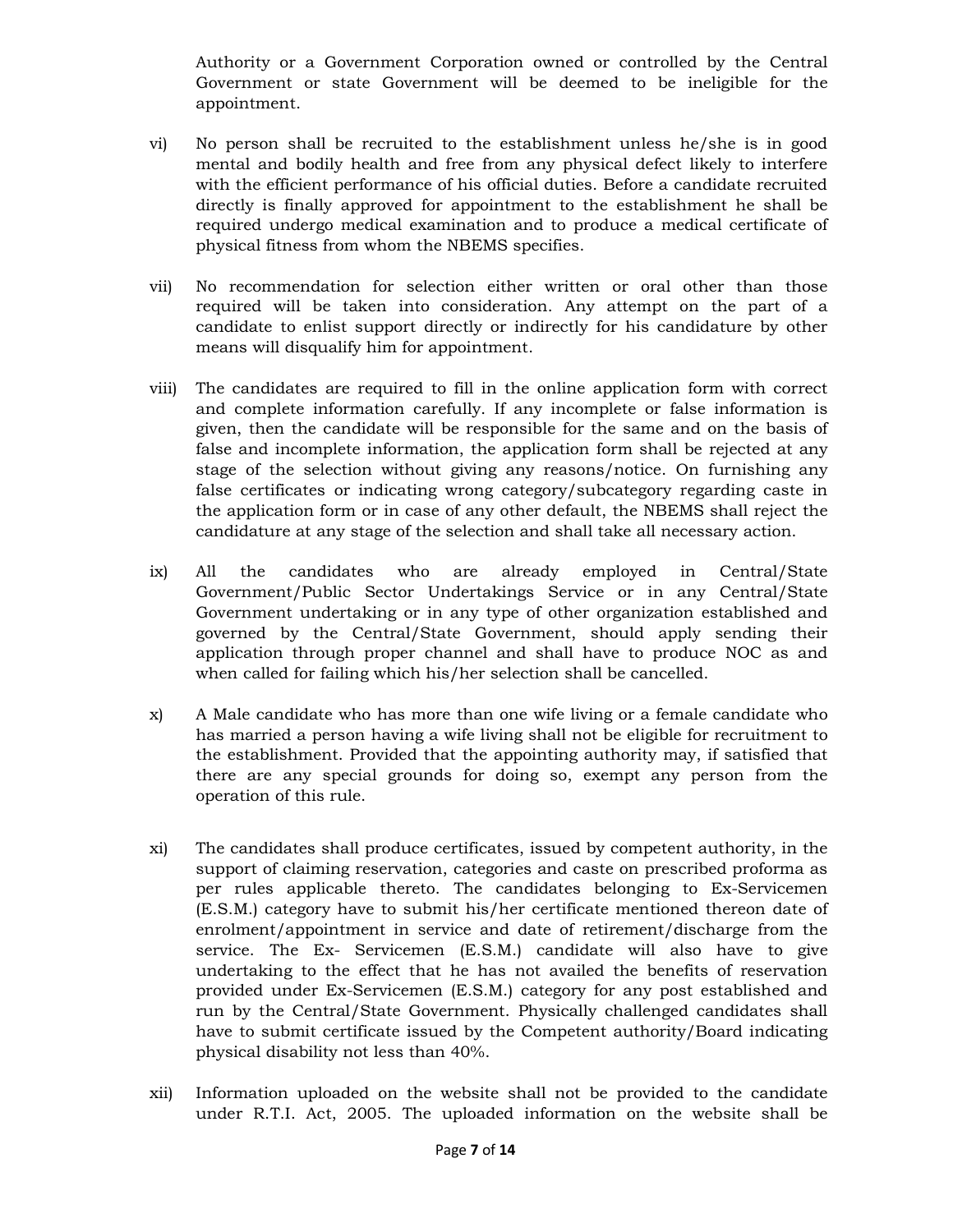Authority or a Government Corporation owned or controlled by the Central Government or state Government will be deemed to be ineligible for the appointment.

- vi) No person shall be recruited to the establishment unless he/she is in good mental and bodily health and free from any physical defect likely to interfere with the efficient performance of his official duties. Before a candidate recruited directly is finally approved for appointment to the establishment he shall be required undergo medical examination and to produce a medical certificate of physical fitness from whom the NBEMS specifies.
- vii) No recommendation for selection either written or oral other than those required will be taken into consideration. Any attempt on the part of a candidate to enlist support directly or indirectly for his candidature by other means will disqualify him for appointment.
- viii) The candidates are required to fill in the online application form with correct and complete information carefully. If any incomplete or false information is given, then the candidate will be responsible for the same and on the basis of false and incomplete information, the application form shall be rejected at any stage of the selection without giving any reasons/notice. On furnishing any false certificates or indicating wrong category/subcategory regarding caste in the application form or in case of any other default, the NBEMS shall reject the candidature at any stage of the selection and shall take all necessary action.
- ix) All the candidates who are already employed in Central/State Government/Public Sector Undertakings Service or in any Central/State Government undertaking or in any type of other organization established and governed by the Central/State Government, should apply sending their application through proper channel and shall have to produce NOC as and when called for failing which his/her selection shall be cancelled.
- x) A Male candidate who has more than one wife living or a female candidate who has married a person having a wife living shall not be eligible for recruitment to the establishment. Provided that the appointing authority may, if satisfied that there are any special grounds for doing so, exempt any person from the operation of this rule.
- xi) The candidates shall produce certificates, issued by competent authority, in the support of claiming reservation, categories and caste on prescribed proforma as per rules applicable thereto. The candidates belonging to Ex-Servicemen (E.S.M.) category have to submit his/her certificate mentioned thereon date of enrolment/appointment in service and date of retirement/discharge from the service. The Ex- Servicemen (E.S.M.) candidate will also have to give undertaking to the effect that he has not availed the benefits of reservation provided under Ex-Servicemen (E.S.M.) category for any post established and run by the Central/State Government. Physically challenged candidates shall have to submit certificate issued by the Competent authority/Board indicating physical disability not less than 40%.
- xii) Information uploaded on the website shall not be provided to the candidate under R.T.I. Act, 2005. The uploaded information on the website shall be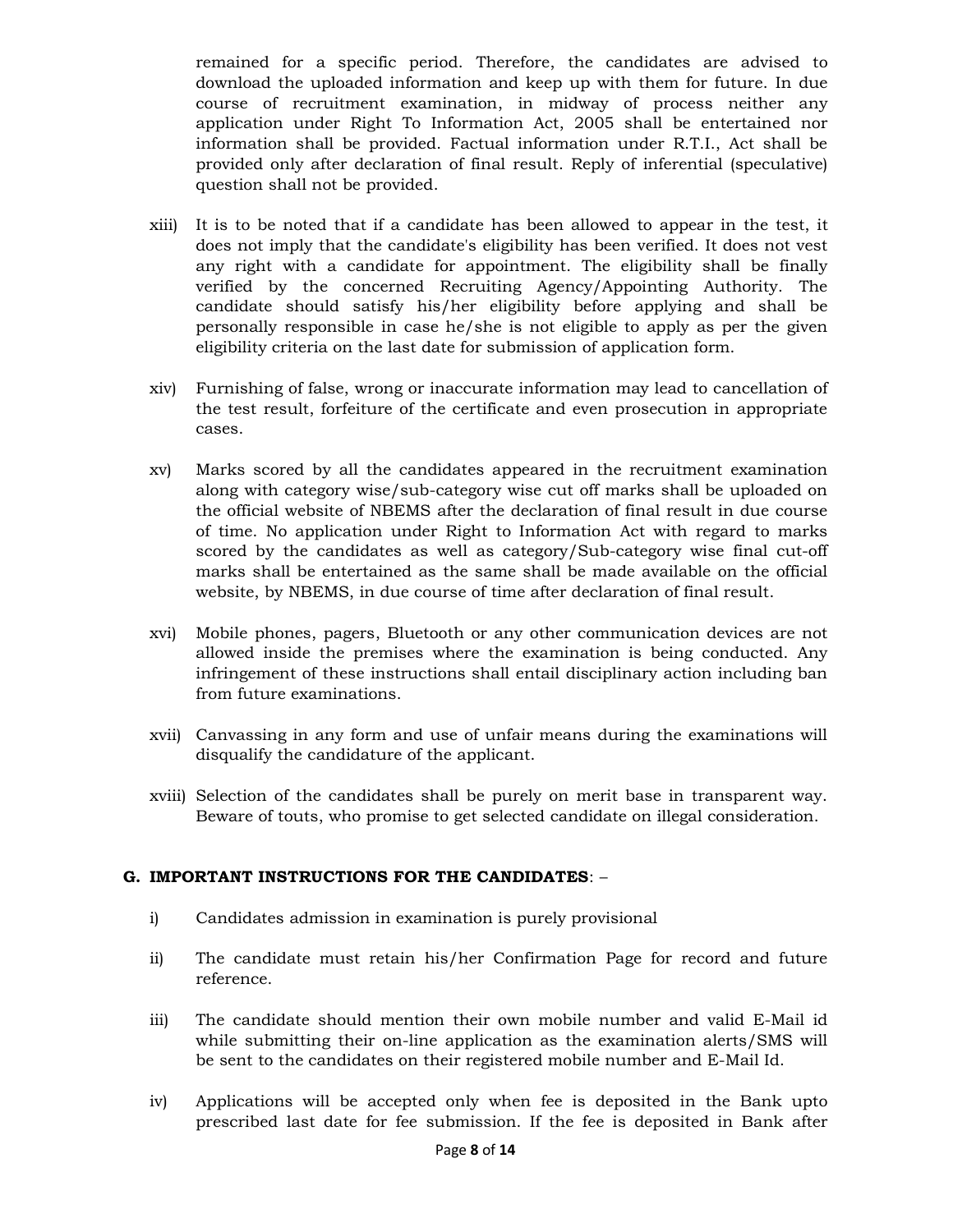remained for a specific period. Therefore, the candidates are advised to download the uploaded information and keep up with them for future. In due course of recruitment examination, in midway of process neither any application under Right To Information Act, 2005 shall be entertained nor information shall be provided. Factual information under R.T.I., Act shall be provided only after declaration of final result. Reply of inferential (speculative) question shall not be provided.

- xiii) It is to be noted that if a candidate has been allowed to appear in the test, it does not imply that the candidate's eligibility has been verified. It does not vest any right with a candidate for appointment. The eligibility shall be finally verified by the concerned Recruiting Agency/Appointing Authority. The candidate should satisfy his/her eligibility before applying and shall be personally responsible in case he/she is not eligible to apply as per the given eligibility criteria on the last date for submission of application form.
- xiv) Furnishing of false, wrong or inaccurate information may lead to cancellation of the test result, forfeiture of the certificate and even prosecution in appropriate cases.
- xv) Marks scored by all the candidates appeared in the recruitment examination along with category wise/sub-category wise cut off marks shall be uploaded on the official website of NBEMS after the declaration of final result in due course of time. No application under Right to Information Act with regard to marks scored by the candidates as well as category/Sub-category wise final cut-off marks shall be entertained as the same shall be made available on the official website, by NBEMS, in due course of time after declaration of final result.
- xvi) Mobile phones, pagers, Bluetooth or any other communication devices are not allowed inside the premises where the examination is being conducted. Any infringement of these instructions shall entail disciplinary action including ban from future examinations.
- xvii) Canvassing in any form and use of unfair means during the examinations will disqualify the candidature of the applicant.
- xviii) Selection of the candidates shall be purely on merit base in transparent way. Beware of touts, who promise to get selected candidate on illegal consideration.

### G. IMPORTANT INSTRUCTIONS FOR THE CANDIDATES: –

- i) Candidates admission in examination is purely provisional
- ii) The candidate must retain his/her Confirmation Page for record and future reference.
- iii) The candidate should mention their own mobile number and valid E-Mail id while submitting their on-line application as the examination alerts/SMS will be sent to the candidates on their registered mobile number and E-Mail Id.
- iv) Applications will be accepted only when fee is deposited in the Bank upto prescribed last date for fee submission. If the fee is deposited in Bank after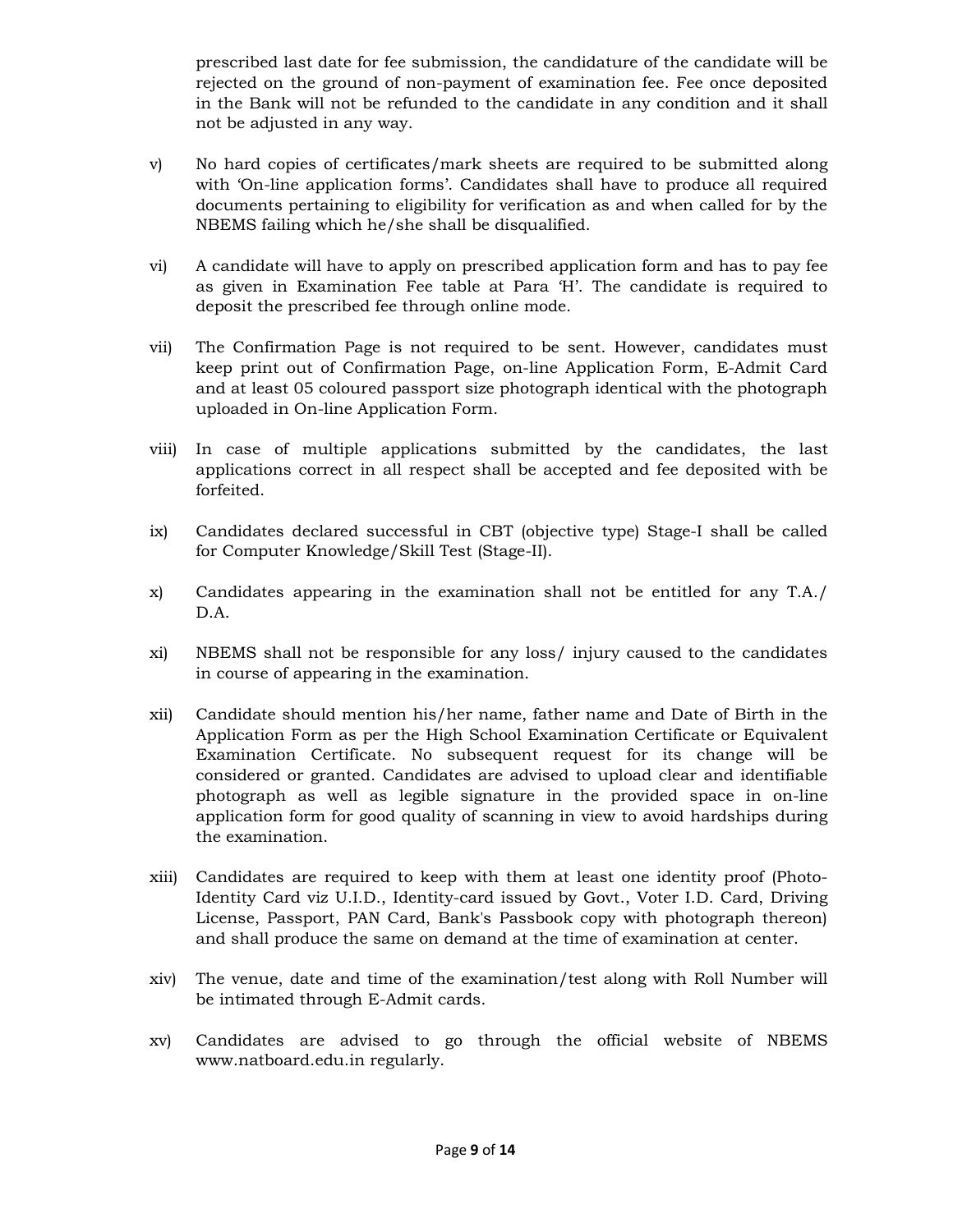prescribed last date for fee submission, the candidature of the candidate will be rejected on the ground of non-payment of examination fee. Fee once deposited in the Bank will not be refunded to the candidate in any condition and it shall not be adjusted in any way.

- v) No hard copies of certificates/mark sheets are required to be submitted along with 'On-line application forms'. Candidates shall have to produce all required documents pertaining to eligibility for verification as and when called for by the NBEMS failing which he/she shall be disqualified.
- vi) A candidate will have to apply on prescribed application form and has to pay fee as given in Examination Fee table at Para 'H'. The candidate is required to deposit the prescribed fee through online mode.
- vii) The Confirmation Page is not required to be sent. However, candidates must keep print out of Confirmation Page, on-line Application Form, E-Admit Card and at least 05 coloured passport size photograph identical with the photograph uploaded in On-line Application Form.
- viii) In case of multiple applications submitted by the candidates, the last applications correct in all respect shall be accepted and fee deposited with be forfeited.
- ix) Candidates declared successful in CBT (objective type) Stage-I shall be called for Computer Knowledge/Skill Test (Stage-II).
- x) Candidates appearing in the examination shall not be entitled for any T.A./ D.A.
- xi) NBEMS shall not be responsible for any loss/ injury caused to the candidates in course of appearing in the examination.
- xii) Candidate should mention his/her name, father name and Date of Birth in the Application Form as per the High School Examination Certificate or Equivalent Examination Certificate. No subsequent request for its change will be considered or granted. Candidates are advised to upload clear and identifiable photograph as well as legible signature in the provided space in on-line application form for good quality of scanning in view to avoid hardships during the examination.
- xiii) Candidates are required to keep with them at least one identity proof (Photo-Identity Card viz U.I.D., Identity-card issued by Govt., Voter I.D. Card, Driving License, Passport, PAN Card, Bank's Passbook copy with photograph thereon) and shall produce the same on demand at the time of examination at center.
- xiv) The venue, date and time of the examination/test along with Roll Number will be intimated through E-Admit cards.
- xv) Candidates are advised to go through the official website of NBEMS www.natboard.edu.in regularly.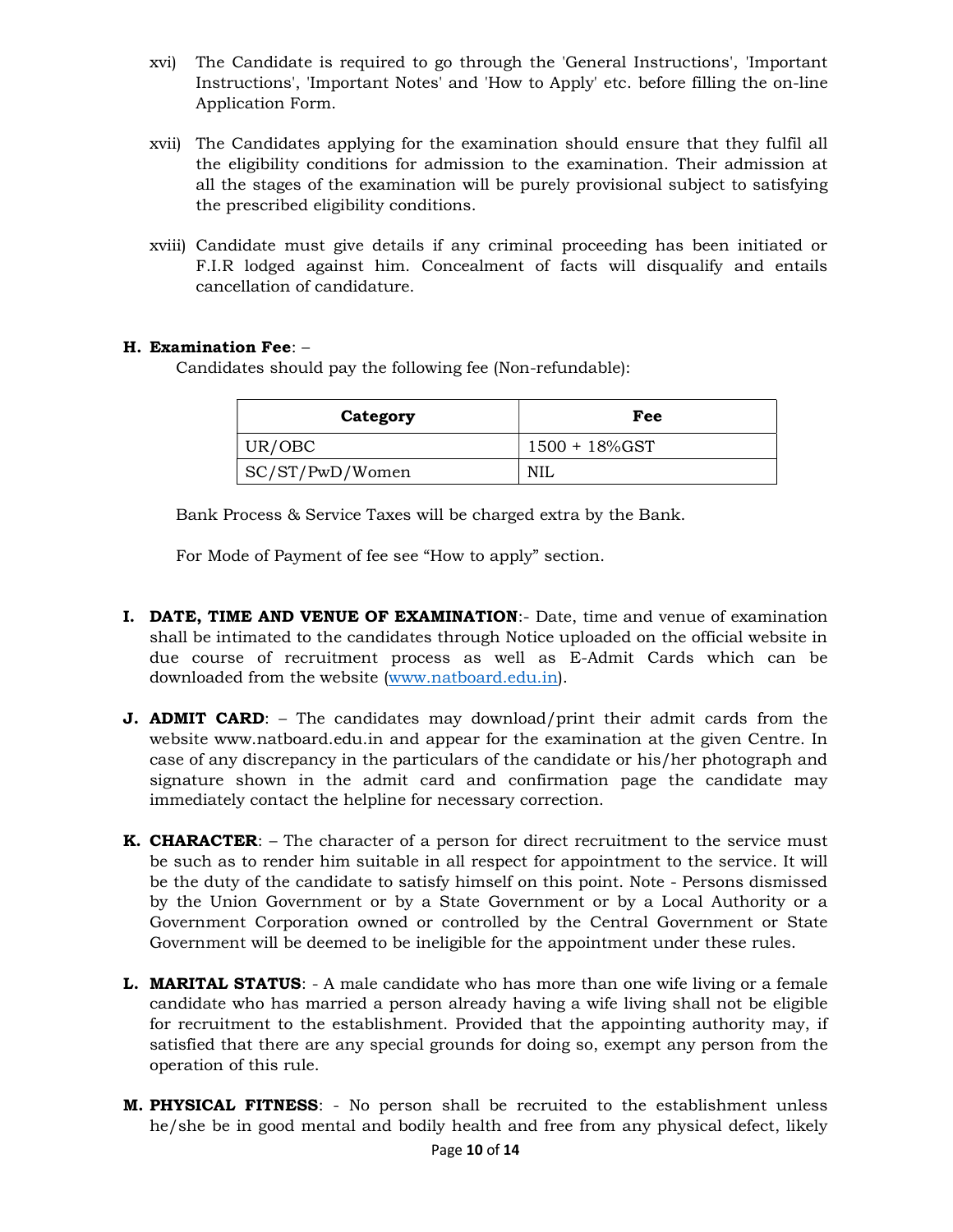- xvi) The Candidate is required to go through the 'General Instructions', 'Important Instructions', 'Important Notes' and 'How to Apply' etc. before filling the on-line Application Form.
- xvii) The Candidates applying for the examination should ensure that they fulfil all the eligibility conditions for admission to the examination. Their admission at all the stages of the examination will be purely provisional subject to satisfying the prescribed eligibility conditions.
- xviii) Candidate must give details if any criminal proceeding has been initiated or F.I.R lodged against him. Concealment of facts will disqualify and entails cancellation of candidature.

### H. Examination Fee: –

Candidates should pay the following fee (Non-refundable):

| Category        | Fee           |
|-----------------|---------------|
| UR/OBC          | 1500 + 18%GST |
| SC/ST/PwD/Women | NIL           |

Bank Process & Service Taxes will be charged extra by the Bank.

For Mode of Payment of fee see "How to apply" section.

- I. DATE, TIME AND VENUE OF EXAMINATION:- Date, time and venue of examination shall be intimated to the candidates through Notice uploaded on the official website in due course of recruitment process as well as E-Admit Cards which can be downloaded from the website (www.natboard.edu.in).
- **J. ADMIT CARD:** The candidates may download/print their admit cards from the website www.natboard.edu.in and appear for the examination at the given Centre. In case of any discrepancy in the particulars of the candidate or his/her photograph and signature shown in the admit card and confirmation page the candidate may immediately contact the helpline for necessary correction.
- **K. CHARACTER:** The character of a person for direct recruitment to the service must be such as to render him suitable in all respect for appointment to the service. It will be the duty of the candidate to satisfy himself on this point. Note - Persons dismissed by the Union Government or by a State Government or by a Local Authority or a Government Corporation owned or controlled by the Central Government or State Government will be deemed to be ineligible for the appointment under these rules.
- L. MARITAL STATUS: A male candidate who has more than one wife living or a female candidate who has married a person already having a wife living shall not be eligible for recruitment to the establishment. Provided that the appointing authority may, if satisfied that there are any special grounds for doing so, exempt any person from the operation of this rule.
- M. PHYSICAL FITNESS: No person shall be recruited to the establishment unless he/she be in good mental and bodily health and free from any physical defect, likely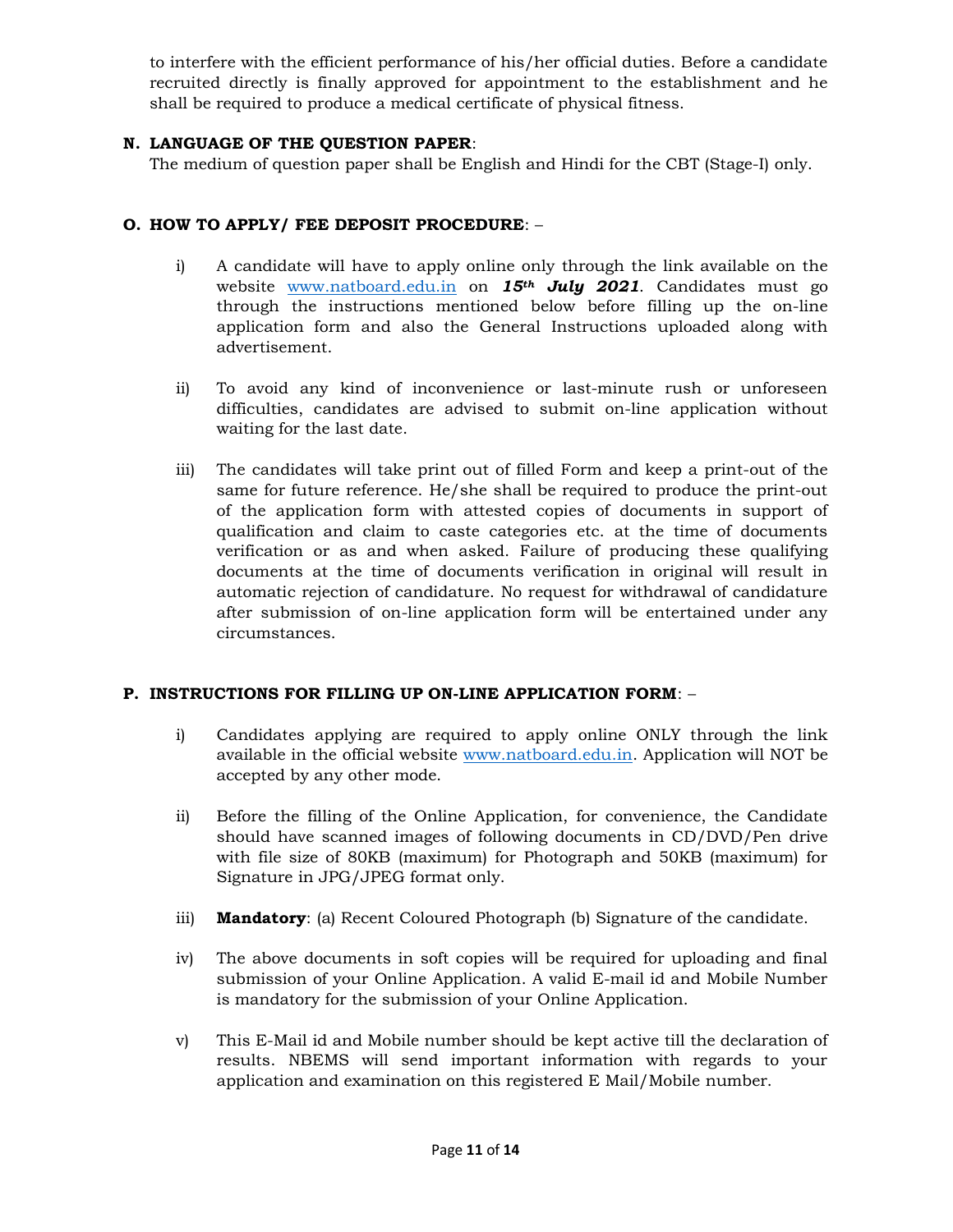to interfere with the efficient performance of his/her official duties. Before a candidate recruited directly is finally approved for appointment to the establishment and he shall be required to produce a medical certificate of physical fitness.

### N. LANGUAGE OF THE QUESTION PAPER:

The medium of question paper shall be English and Hindi for the CBT (Stage-I) only.

### O. HOW TO APPLY/ FEE DEPOSIT PROCEDURE: –

- i) A candidate will have to apply online only through the link available on the website www.natboard.edu.in on 15<sup>th</sup> July 2021. Candidates must go through the instructions mentioned below before filling up the on-line application form and also the General Instructions uploaded along with advertisement.
- ii) To avoid any kind of inconvenience or last-minute rush or unforeseen difficulties, candidates are advised to submit on-line application without waiting for the last date.
- iii) The candidates will take print out of filled Form and keep a print-out of the same for future reference. He/she shall be required to produce the print-out of the application form with attested copies of documents in support of qualification and claim to caste categories etc. at the time of documents verification or as and when asked. Failure of producing these qualifying documents at the time of documents verification in original will result in automatic rejection of candidature. No request for withdrawal of candidature after submission of on-line application form will be entertained under any circumstances.

### P. INSTRUCTIONS FOR FILLING UP ON-LINE APPLICATION FORM: –

- i) Candidates applying are required to apply online ONLY through the link available in the official website www.natboard.edu.in. Application will NOT be accepted by any other mode.
- ii) Before the filling of the Online Application, for convenience, the Candidate should have scanned images of following documents in CD/DVD/Pen drive with file size of 80KB (maximum) for Photograph and 50KB (maximum) for Signature in JPG/JPEG format only.
- iii) **Mandatory**: (a) Recent Coloured Photograph (b) Signature of the candidate.
- iv) The above documents in soft copies will be required for uploading and final submission of your Online Application. A valid E-mail id and Mobile Number is mandatory for the submission of your Online Application.
- v) This E-Mail id and Mobile number should be kept active till the declaration of results. NBEMS will send important information with regards to your application and examination on this registered E Mail/Mobile number.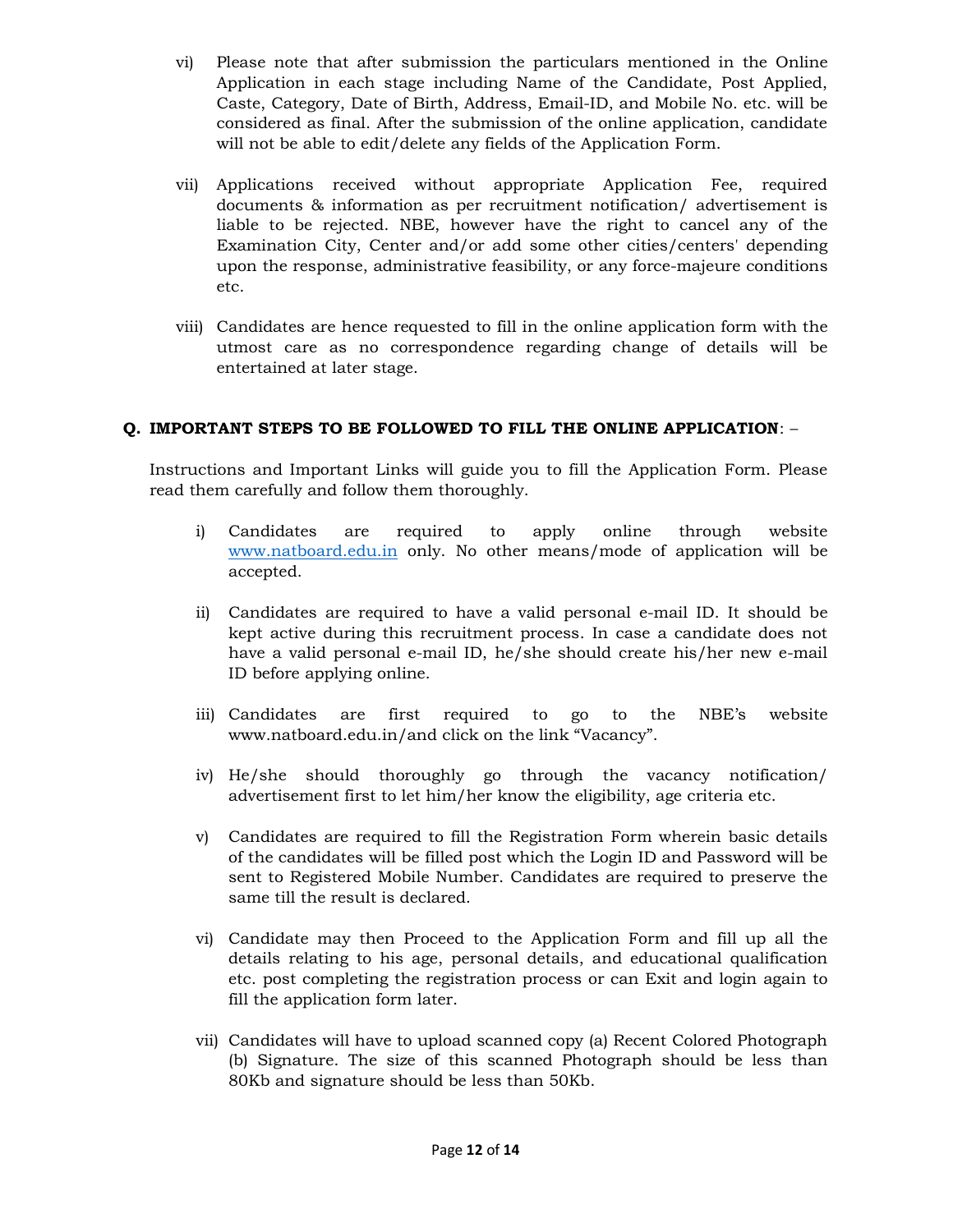- vi) Please note that after submission the particulars mentioned in the Online Application in each stage including Name of the Candidate, Post Applied, Caste, Category, Date of Birth, Address, Email-ID, and Mobile No. etc. will be considered as final. After the submission of the online application, candidate will not be able to edit/delete any fields of the Application Form.
- vii) Applications received without appropriate Application Fee, required documents & information as per recruitment notification/ advertisement is liable to be rejected. NBE, however have the right to cancel any of the Examination City, Center and/or add some other cities/centers' depending upon the response, administrative feasibility, or any force-majeure conditions etc.
- viii) Candidates are hence requested to fill in the online application form with the utmost care as no correspondence regarding change of details will be entertained at later stage.

### Q. IMPORTANT STEPS TO BE FOLLOWED TO FILL THE ONLINE APPLICATION: –

Instructions and Important Links will guide you to fill the Application Form. Please read them carefully and follow them thoroughly.

- i) Candidates are required to apply online through website www.natboard.edu.in only. No other means/mode of application will be accepted.
- ii) Candidates are required to have a valid personal e-mail ID. It should be kept active during this recruitment process. In case a candidate does not have a valid personal e-mail ID, he/she should create his/her new e-mail ID before applying online.
- iii) Candidates are first required to go to the NBE's website www.natboard.edu.in/and click on the link "Vacancy".
- iv) He/she should thoroughly go through the vacancy notification/ advertisement first to let him/her know the eligibility, age criteria etc.
- v) Candidates are required to fill the Registration Form wherein basic details of the candidates will be filled post which the Login ID and Password will be sent to Registered Mobile Number. Candidates are required to preserve the same till the result is declared.
- vi) Candidate may then Proceed to the Application Form and fill up all the details relating to his age, personal details, and educational qualification etc. post completing the registration process or can Exit and login again to fill the application form later.
- vii) Candidates will have to upload scanned copy (a) Recent Colored Photograph (b) Signature. The size of this scanned Photograph should be less than 80Kb and signature should be less than 50Kb.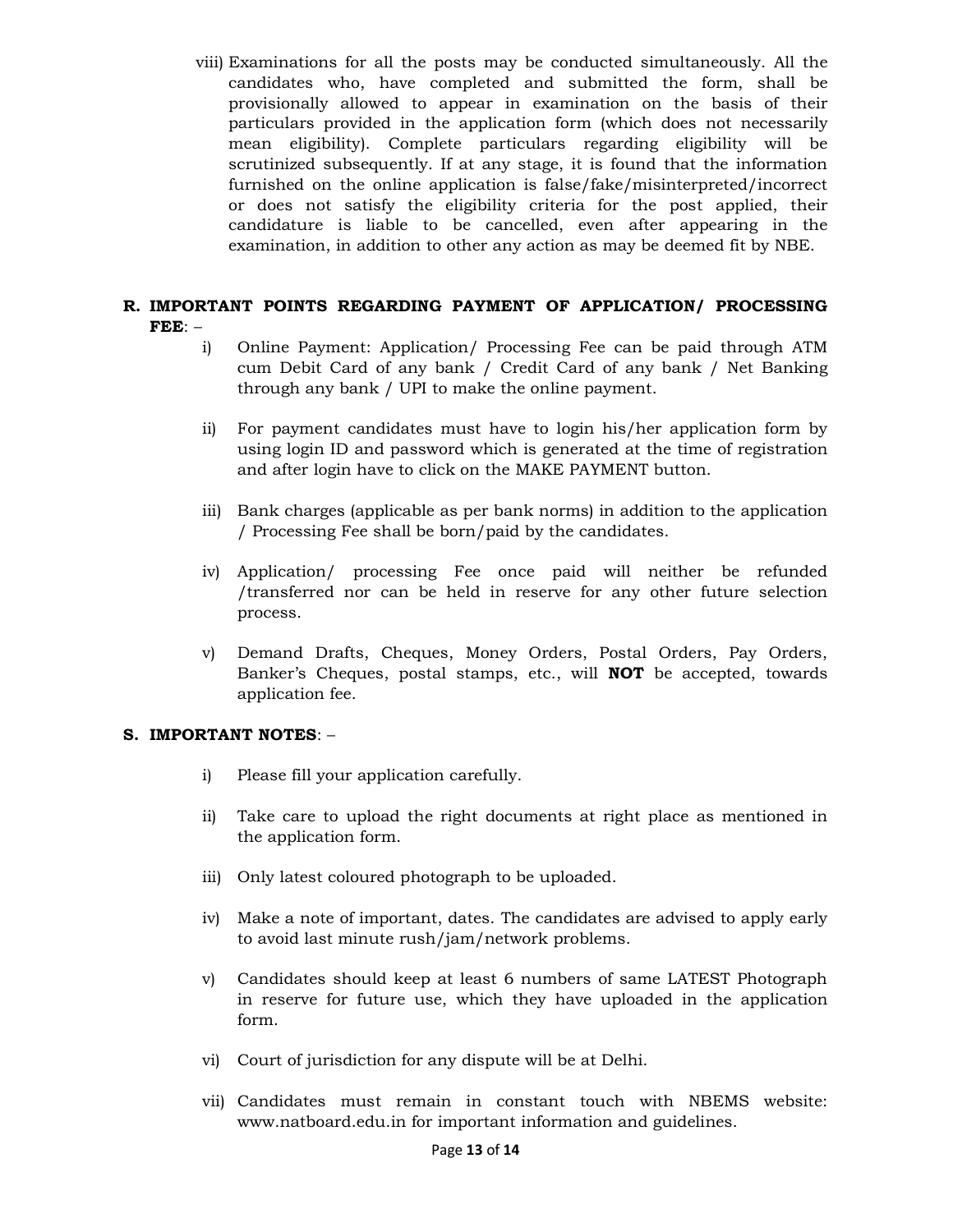viii) Examinations for all the posts may be conducted simultaneously. All the candidates who, have completed and submitted the form, shall be provisionally allowed to appear in examination on the basis of their particulars provided in the application form (which does not necessarily mean eligibility). Complete particulars regarding eligibility will be scrutinized subsequently. If at any stage, it is found that the information furnished on the online application is false/fake/misinterpreted/incorrect or does not satisfy the eligibility criteria for the post applied, their candidature is liable to be cancelled, even after appearing in the examination, in addition to other any action as may be deemed fit by NBE.

### R. IMPORTANT POINTS REGARDING PAYMENT OF APPLICATION/ PROCESSING FEE: –

- i) Online Payment: Application/ Processing Fee can be paid through ATM cum Debit Card of any bank / Credit Card of any bank / Net Banking through any bank / UPI to make the online payment.
- ii) For payment candidates must have to login his/her application form by using login ID and password which is generated at the time of registration and after login have to click on the MAKE PAYMENT button.
- iii) Bank charges (applicable as per bank norms) in addition to the application / Processing Fee shall be born/paid by the candidates.
- iv) Application/ processing Fee once paid will neither be refunded /transferred nor can be held in reserve for any other future selection process.
- v) Demand Drafts, Cheques, Money Orders, Postal Orders, Pay Orders, Banker's Cheques, postal stamps, etc., will NOT be accepted, towards application fee.

#### S. IMPORTANT NOTES: –

- i) Please fill your application carefully.
- ii) Take care to upload the right documents at right place as mentioned in the application form.
- iii) Only latest coloured photograph to be uploaded.
- iv) Make a note of important, dates. The candidates are advised to apply early to avoid last minute rush/jam/network problems.
- v) Candidates should keep at least 6 numbers of same LATEST Photograph in reserve for future use, which they have uploaded in the application form.
- vi) Court of jurisdiction for any dispute will be at Delhi.
- vii) Candidates must remain in constant touch with NBEMS website: www.natboard.edu.in for important information and guidelines.